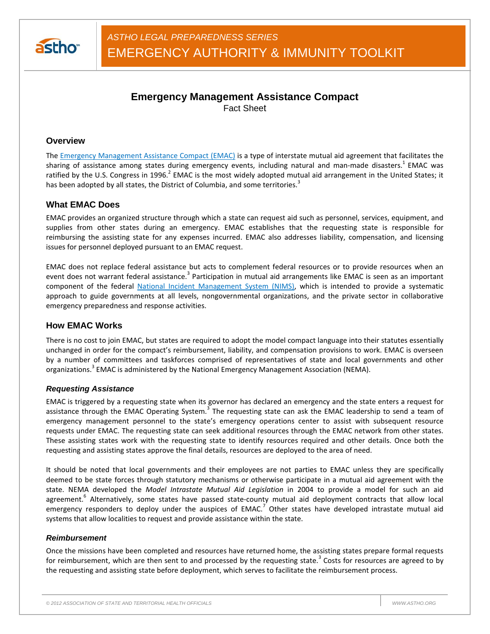

# **Emergency Management Assistance Compact**

Fact Sheet

# **Overview**

The Emergency Management Assistance Compact (EMAC) is a type of interstate mutual aid agreement that facilitates the sharing of assistance among states during emergency events, including natural and man-made disasters.<sup>1</sup> EMAC was ratified by the U.S. Congress in 1996.<sup>2</sup> EMAC is the most widely adopted mutual aid arrangement in the United States; it has been adopted by all states, the District of Columbia, and some territories.<sup>3</sup>

# **What EMAC Does**

EMAC provides an organized structure through which a state can request aid such as personnel, services, equipment, and supplies from other states during an emergency. EMAC establishes that the requesting state is responsible for reimbursing the assisting state for any expenses incurred. EMAC also addresses liability, compensation, and licensing issues for personnel deployed pursuant to an EMAC request.

EMAC does not replace federal assistance but acts to complement federal resources or to provide resources when an event does not warrant federal assistance.<sup>3</sup> Participation in mutual aid arrangements like EMAC is seen as an important component of the federal National Incident Management System (NIMS), which is intended to provide a systematic approach to guide governments at all levels, nongovernmental organizations, and the private sector in collaborative emergency preparedness and response activities.

# **How EMAC Works**

There is no cost to join EMAC, but states are required to adopt the model compact language into their statutes essentially unchanged in order for the compact's reimbursement, liability, and compensation provisions to work. EMAC is overseen by a number of committees and taskforces comprised of representatives of state and local governments and other organizations.<sup>3</sup> EMAC is administered by the National Emergency Management Association (NEMA).

#### *Requesting Assistance*

EMAC is triggered by a requesting state when its governor has declared an emergency and the state enters a request for assistance through the EMAC Operating System.<sup>3</sup> The requesting state can ask the EMAC leadership to send a team of emergency management personnel to the state's emergency operations center to assist with subsequent resource requests under EMAC. The requesting state can seek additional resources through the EMAC network from other states. These assisting states work with the requesting state to identify resources required and other details. Once both the requesting and assisting states approve the final details, resources are deployed to the area of need.

It should be noted that local governments and their employees are not parties to EMAC unless they are specifically deemed to be state forces through statutory mechanisms or otherwise participate in a mutual aid agreement with the state. NEMA developed the *Model Intrastate Mutual Aid Legislation* in 2004 to provide a model for such an aid agreement.<sup>6</sup> Alternatively, some states have passed state-county mutual aid deployment contracts that allow local emergency responders to deploy under the auspices of EMAC.<sup>7</sup> Other states have developed intrastate mutual aid systems that allow localities to request and provide assistance within the state.

#### *Reimbursement*

Once the missions have been completed and resources have returned home, the assisting states prepare formal requests for reimbursement, which are then sent to and processed by the requesting state.<sup>3</sup> Costs for resources are agreed to by the requesting and assisting state before deployment, which serves to facilitate the reimbursement process.